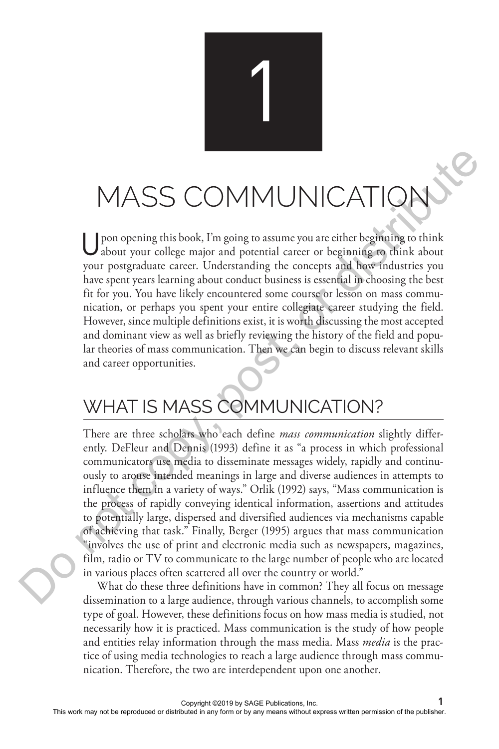

# MASS COMMUNICATION

Upon opening this book, I'm going to assume you are either beginning to think about your college major and potential career or beginning to think about your postgraduate career. Understanding the concepts and how industries you have spent years learning about conduct business is essential in choosing the best fit for you. You have likely encountered some course or lesson on mass communication, or perhaps you spent your entire collegiate career studying the field. However, since multiple definitions exist, it is worth discussing the most accepted and dominant view as well as briefly reviewing the history of the field and popular theories of mass communication. Then we can begin to discuss relevant skills and career opportunities.

### WHAT IS MASS COMMUNICATION?

There are three scholars who each define *mass communication* slightly differently. DeFleur and Dennis (1993) define it as "a process in which professional communicators use media to disseminate messages widely, rapidly and continuously to arouse intended meanings in large and diverse audiences in attempts to influence them in a variety of ways." Orlik (1992) says, "Mass communication is the process of rapidly conveying identical information, assertions and attitudes to potentially large, dispersed and diversified audiences via mechanisms capable of achieving that task." Finally, Berger (1995) argues that mass communication "involves the use of print and electronic media such as newspapers, magazines, film, radio or TV to communicate to the large number of people who are located in various places often scattered all over the country or world." MASS COMMUNICATION<br>
Upon opening this book. I'm going to assume you are either beginning on think about<br>
your postgraduate accret Understanding the concorps and book have spent years learning about conduct business is ess

What do these three definitions have in common? They all focus on message dissemination to a large audience, through various channels, to accomplish some type of goal. However, these definitions focus on how mass media is studied, not necessarily how it is practiced. Mass communication is the study of how people and entities relay information through the mass media. Mass *media* is the practice of using media technologies to reach a large audience through mass communication. Therefore, the two are interdependent upon one another.

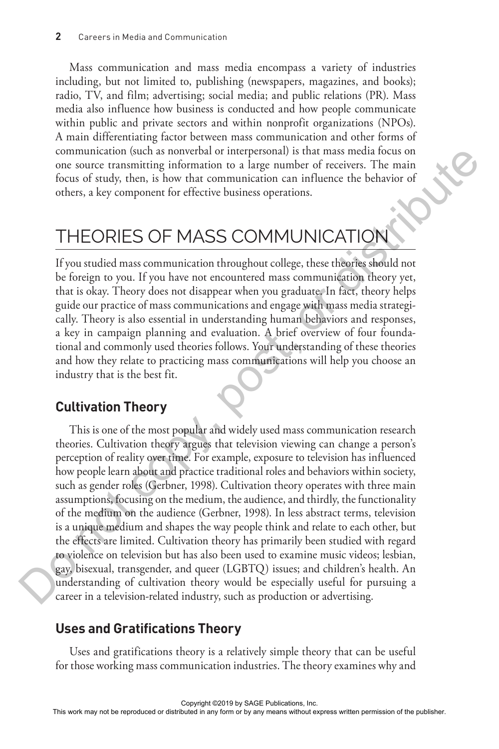Mass communication and mass media encompass a variety of industries including, but not limited to, publishing (newspapers, magazines, and books); radio, TV, and film; advertising; social media; and public relations (PR). Mass media also influence how business is conducted and how people communicate within public and private sectors and within nonprofit organizations (NPOs). A main differentiating factor between mass communication and other forms of communication (such as nonverbal or interpersonal) is that mass media focus on one source transmitting information to a large number of receivers. The main focus of study, then, is how that communication can influence the behavior of others, a key component for effective business operations.

### THEORIES OF MASS COMMUNICATION

If you studied mass communication throughout college, these theories should not be foreign to you. If you have not encountered mass communication theory yet, that is okay. Theory does not disappear when you graduate. In fact, theory helps guide our practice of mass communications and engage with mass media strategically. Theory is also essential in understanding human behaviors and responses, a key in campaign planning and evaluation. A brief overview of four foundational and commonly used theories follows. Your understanding of these theories and how they relate to practicing mass communications will help you choose an industry that is the best fit.

#### **Cultivation Theory**

This is one of the most popular and widely used mass communication research theories. Cultivation theory argues that television viewing can change a person's perception of reality over time. For example, exposure to television has influenced how people learn about and practice traditional roles and behaviors within society, such as gender roles (Gerbner, 1998). Cultivation theory operates with three main assumptions, focusing on the medium, the audience, and thirdly, the functionality of the medium on the audience (Gerbner, 1998). In less abstract terms, television is a unique medium and shapes the way people think and relate to each other, but the effects are limited. Cultivation theory has primarily been studied with regard to violence on television but has also been used to examine music videos; lesbian, gay, bisexual, transgender, and queer (LGBTQ) issues; and children's health. An understanding of cultivation theory would be especially useful for pursuing a career in a television-related industry, such as production or advertising. Communication (see the reproduced or the form of the reproduced or distributed in any focus of the reproduced or stributed in any the reproduced or distributed in any means with the publisher. As how that communication an

#### **Uses and Gratifications Theory**

Uses and gratifications theory is a relatively simple theory that can be useful for those working mass communication industries. The theory examines why and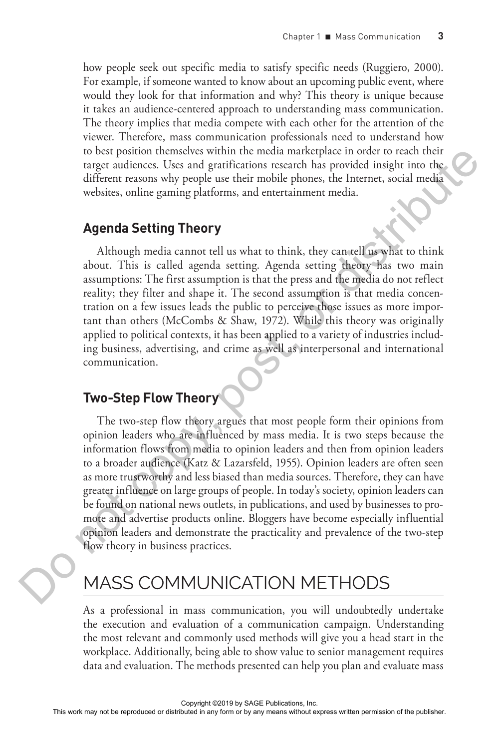how people seek out specific media to satisfy specific needs (Ruggiero, 2000). For example, if someone wanted to know about an upcoming public event, where would they look for that information and why? This theory is unique because it takes an audience-centered approach to understanding mass communication. The theory implies that media compete with each other for the attention of the viewer. Therefore, mass communication professionals need to understand how to best position themselves within the media marketplace in order to reach their target audiences. Uses and gratifications research has provided insight into the different reasons why people use their mobile phones, the Internet, social media websites, online gaming platforms, and entertainment media.

#### **Agenda Setting Theory**

Although media cannot tell us what to think, they can tell us what to think about. This is called agenda setting. Agenda setting theory has two main assumptions: The first assumption is that the press and the media do not reflect reality; they filter and shape it. The second assumption is that media concentration on a few issues leads the public to perceive those issues as more important than others (McCombs & Shaw, 1972). While this theory was originally applied to political contexts, it has been applied to a variety of industries including business, advertising, and crime as well as interpersonal and international communication.

### **Two-Step Flow Theory**

The two-step flow theory argues that most people form their opinions from opinion leaders who are influenced by mass media. It is two steps because the information flows from media to opinion leaders and then from opinion leaders to a broader audience (Katz & Lazarsfeld, 1955). Opinion leaders are often seen as more trustworthy and less biased than media sources. Therefore, they can have greater influence on large groups of people. In today's society, opinion leaders can be found on national news outlets, in publications, and used by businesses to promote and advertise products online. Bloggers have become especially influential opinion leaders and demonstrate the practicality and prevalence of the two-step flow theory in business practices. This work may not be reproduced or distributed or distributed in any the representation or the representation or the representation or the state or distributed in any properties with the state or distributed in any means w

### MASS COMMUNICATION METHODS

As a professional in mass communication, you will undoubtedly undertake the execution and evaluation of a communication campaign. Understanding the most relevant and commonly used methods will give you a head start in the workplace. Additionally, being able to show value to senior management requires data and evaluation. The methods presented can help you plan and evaluate mass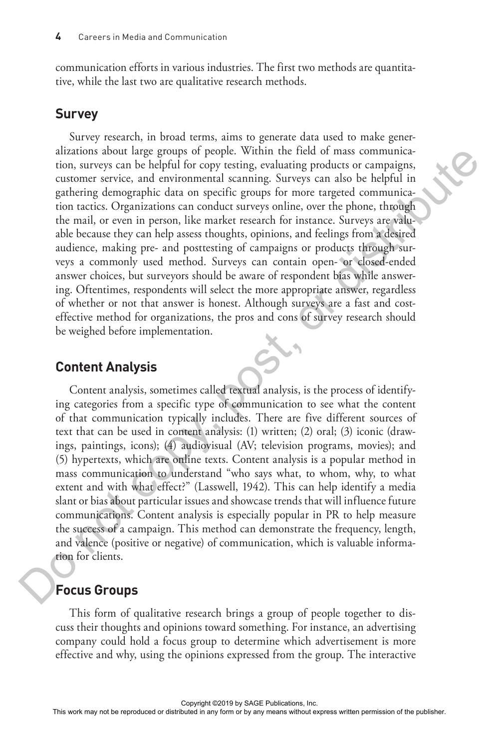communication efforts in various industries. The first two methods are quantitative, while the last two are qualitative research methods.

#### **Survey**

Survey research, in broad terms, aims to generate data used to make generalizations about large groups of people. Within the field of mass communication, surveys can be helpful for copy testing, evaluating products or campaigns, customer service, and environmental scanning. Surveys can also be helpful in gathering demographic data on specific groups for more targeted communication tactics. Organizations can conduct surveys online, over the phone, through the mail, or even in person, like market research for instance. Surveys are valuable because they can help assess thoughts, opinions, and feelings from a desired audience, making pre- and posttesting of campaigns or products through surveys a commonly used method. Surveys can contain open- or closed-ended answer choices, but surveyors should be aware of respondent bias while answering. Oftentimes, respondents will select the more appropriate answer, regardless of whether or not that answer is honest. Although surveys are a fast and costeffective method for organizations, the pros and cons of survey research should be weighed before implementation. The station and or the rest may not be reproduced or distribution that is the helpful in any continuous continuous continuous continuous continuous continuous continuous continuous continuous continuous continuous continuo

#### **Content Analysis**

Content analysis, sometimes called textual analysis, is the process of identifying categories from a specific type of communication to see what the content of that communication typically includes. There are five different sources of text that can be used in content analysis: (1) written; (2) oral; (3) iconic (drawings, paintings, icons); (4) audiovisual (AV; television programs, movies); and (5) hypertexts, which are online texts. Content analysis is a popular method in mass communication to understand "who says what, to whom, why, to what extent and with what effect?" (Lasswell, 1942). This can help identify a media slant or bias about particular issues and showcase trends that will influence future communications. Content analysis is especially popular in PR to help measure the success of a campaign. This method can demonstrate the frequency, length, and valence (positive or negative) of communication, which is valuable information for clients.

#### **Focus Groups**

This form of qualitative research brings a group of people together to discuss their thoughts and opinions toward something. For instance, an advertising company could hold a focus group to determine which advertisement is more effective and why, using the opinions expressed from the group. The interactive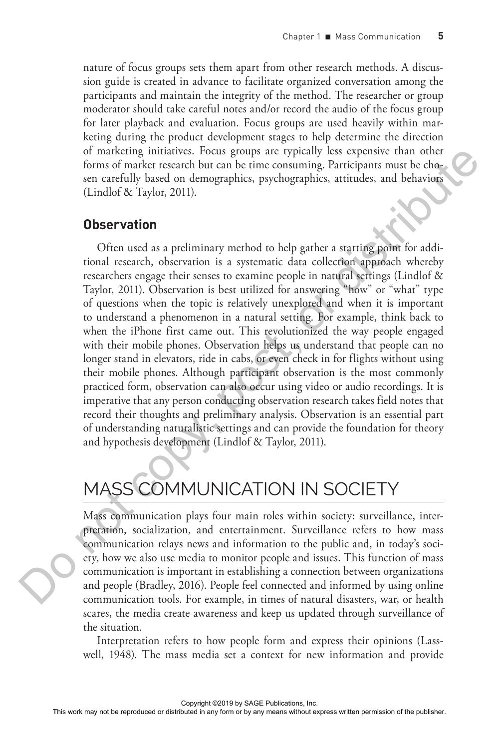nature of focus groups sets them apart from other research methods. A discussion guide is created in advance to facilitate organized conversation among the participants and maintain the integrity of the method. The researcher or group moderator should take careful notes and/or record the audio of the focus group for later playback and evaluation. Focus groups are used heavily within marketing during the product development stages to help determine the direction of marketing initiatives. Focus groups are typically less expensive than other forms of market research but can be time consuming. Participants must be chosen carefully based on demographics, psychographics, attitudes, and behaviors (Lindlof & Taylor, 2011).

#### **Observation**

Often used as a preliminary method to help gather a starting point for additional research, observation is a systematic data collection approach whereby researchers engage their senses to examine people in natural settings (Lindlof & Taylor, 2011). Observation is best utilized for answering "how" or "what" type of questions when the topic is relatively unexplored and when it is important to understand a phenomenon in a natural setting. For example, think back to when the iPhone first came out. This revolutionized the way people engaged with their mobile phones. Observation helps us understand that people can no longer stand in elevators, ride in cabs, or even check in for flights without using their mobile phones. Although participant observation is the most commonly practiced form, observation can also occur using video or audio recordings. It is imperative that any person conducting observation research takes field notes that record their thoughts and preliminary analysis. Observation is an essential part of understanding naturalistic settings and can provide the foundation for theory and hypothesis development (Lindlof & Taylor, 2011). of marketing maturity and poster are precisely less expense that other through the reproduction of the reproduced or distributed in any form of the consuming Participans must be chosen carefully based on demographics, psyc

## MASS COMMUNICATION IN SOCIETY

Mass communication plays four main roles within society: surveillance, interpretation, socialization, and entertainment. Surveillance refers to how mass communication relays news and information to the public and, in today's society, how we also use media to monitor people and issues. This function of mass communication is important in establishing a connection between organizations and people (Bradley, 2016). People feel connected and informed by using online communication tools. For example, in times of natural disasters, war, or health scares, the media create awareness and keep us updated through surveillance of the situation.

Interpretation refers to how people form and express their opinions (Lasswell, 1948). The mass media set a context for new information and provide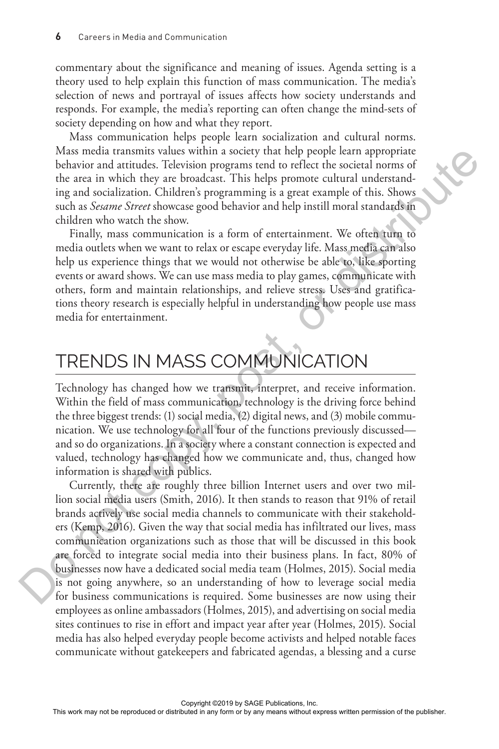commentary about the significance and meaning of issues. Agenda setting is a theory used to help explain this function of mass communication. The media's selection of news and portrayal of issues affects how society understands and responds. For example, the media's reporting can often change the mind-sets of society depending on how and what they report.

Mass communication helps people learn socialization and cultural norms. Mass media transmits values within a society that help people learn appropriate behavior and attitudes. Television programs tend to reflect the societal norms of the area in which they are broadcast. This helps promote cultural understanding and socialization. Children's programming is a great example of this. Shows such as *Sesame Street* showcase good behavior and help instill moral standards in children who watch the show.

Finally, mass communication is a form of entertainment. We often turn to media outlets when we want to relax or escape everyday life. Mass media can also help us experience things that we would not otherwise be able to, like sporting events or award shows. We can use mass media to play games, communicate with others, form and maintain relationships, and relieve stress. Uses and gratifications theory research is especially helpful in understanding how people use mass media for entertainment.

### TRENDS IN MASS COMMUNICATION

Technology has changed how we transmit, interpret, and receive information. Within the field of mass communication, technology is the driving force behind the three biggest trends: (1) social media, (2) digital news, and (3) mobile communication. We use technology for all four of the functions previously discussed and so do organizations. In a society where a constant connection is expected and valued, technology has changed how we communicate and, thus, changed how information is shared with publics.

Currently, there are roughly three billion Internet users and over two million social media users (Smith, 2016). It then stands to reason that 91% of retail brands actively use social media channels to communicate with their stakeholders (Kemp, 2016). Given the way that social media has infiltrated our lives, mass communication organizations such as those that will be discussed in this book are forced to integrate social media into their business plans. In fact, 80% of businesses now have a dedicated social media team (Holmes, 2015). Social media is not going anywhere, so an understanding of how to leverage social media for business communications is required. Some businesses are now using their employees as online ambassadors (Holmes, 2015), and advertising on social media sites continues to rise in effort and impact year after year (Holmes, 2015). Social media has also helped everyday people become activists and helped notable faces communicate without gatekeepers and fabricated agendas, a blessing and a curse Mass media transmission was one with a society that help people hearn a proportional proteinant<br>the area in which they are horizontar. This lefts proportion cultural materials<br>the reproduced in any field in any field in a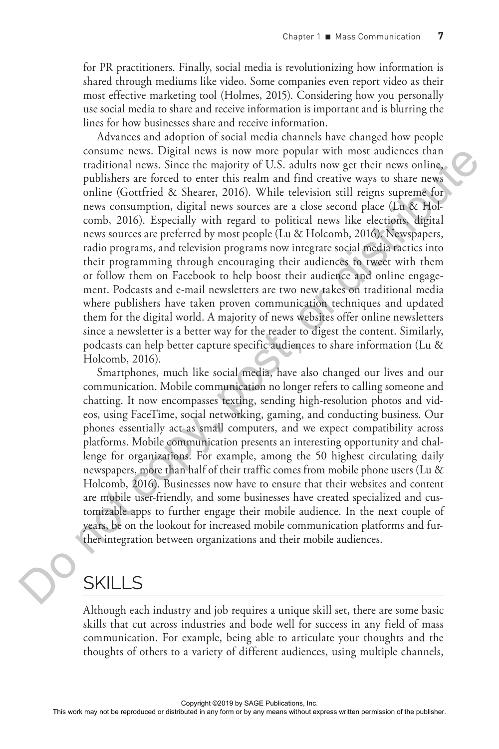for PR practitioners. Finally, social media is revolutionizing how information is shared through mediums like video. Some companies even report video as their most effective marketing tool (Holmes, 2015). Considering how you personally use social media to share and receive information is important and is blurring the lines for how businesses share and receive information.

Advances and adoption of social media channels have changed how people consume news. Digital news is now more popular with most audiences than traditional news. Since the majority of U.S. adults now get their news online, publishers are forced to enter this realm and find creative ways to share news online (Gottfried & Shearer, 2016). While television still reigns supreme for news consumption, digital news sources are a close second place (Lu & Holcomb, 2016). Especially with regard to political news like elections, digital news sources are preferred by most people (Lu & Holcomb, 2016). Newspapers, radio programs, and television programs now integrate social media tactics into their programming through encouraging their audiences to tweet with them or follow them on Facebook to help boost their audience and online engagement. Podcasts and e-mail newsletters are two new takes on traditional media where publishers have taken proven communication techniques and updated them for the digital world. A majority of news websites offer online newsletters since a newsletter is a better way for the reader to digest the content. Similarly, podcasts can help better capture specific audiences to share information (Lu & Holcomb, 2016). Consume news. Dince the reading the rest is computed with most audiences than the publishers are forced to correct the recains and find creative ways to share news or be reproduced or the reproduced or the state are also

Smartphones, much like social media, have also changed our lives and our communication. Mobile communication no longer refers to calling someone and chatting. It now encompasses texting, sending high-resolution photos and videos, using FaceTime, social networking, gaming, and conducting business. Our phones essentially act as small computers, and we expect compatibility across platforms. Mobile communication presents an interesting opportunity and challenge for organizations. For example, among the 50 highest circulating daily newspapers, more than half of their traffic comes from mobile phone users (Lu & Holcomb, 2016). Businesses now have to ensure that their websites and content are mobile user-friendly, and some businesses have created specialized and customizable apps to further engage their mobile audience. In the next couple of years, be on the lookout for increased mobile communication platforms and further integration between organizations and their mobile audiences.

### SKILLS

Although each industry and job requires a unique skill set, there are some basic skills that cut across industries and bode well for success in any field of mass communication. For example, being able to articulate your thoughts and the thoughts of others to a variety of different audiences, using multiple channels,